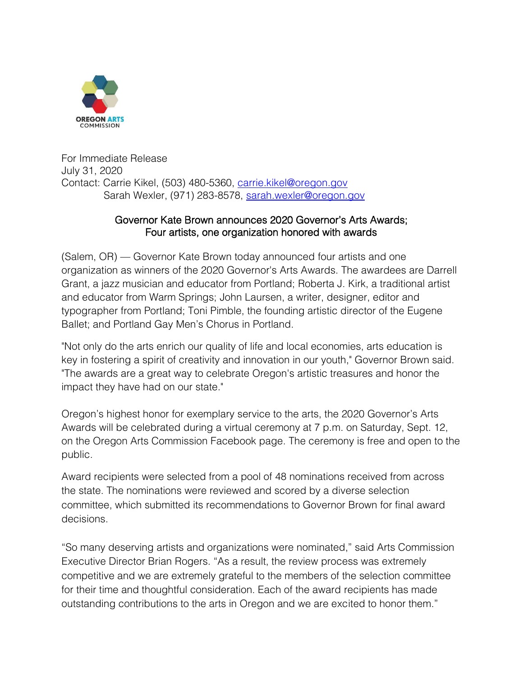

For Immediate Release July 31, 2020 Contact: Carrie Kikel, (503) 480-5360, [carrie.kikel@oregon.gov](mailto:carrie.kikel@oregon.gov) Sarah Wexler, (971) 283-8578, [sarah.wexler@oregon.gov](mailto:sarah.wexler@oregon.gov)

#### Governor Kate Brown announces 2020 Governor's Arts Awards; Four artists, one organization honored with awards

(Salem, OR) — Governor Kate Brown today announced four artists and one organization as winners of the 2020 Governor's Arts Awards. The awardees are Darrell Grant, a jazz musician and educator from Portland; Roberta J. Kirk, a traditional artist and educator from Warm Springs; John Laursen, a writer, designer, editor and typographer from Portland; Toni Pimble, the founding artistic director of the Eugene Ballet; and Portland Gay Men's Chorus in Portland.

"Not only do the arts enrich our quality of life and local economies, arts education is key in fostering a spirit of creativity and innovation in our youth," Governor Brown said. "The awards are a great way to celebrate Oregon's artistic treasures and honor the impact they have had on our state."

Oregon's highest honor for exemplary service to the arts, the 2020 Governor's Arts Awards will be celebrated during a virtual ceremony at 7 p.m. on Saturday, Sept. 12, on the Oregon Arts Commission Facebook page. The ceremony is free and open to the public.

Award recipients were selected from a pool of 48 nominations received from across the state. The nominations were reviewed and scored by a diverse selection committee, which submitted its recommendations to Governor Brown for final award decisions.

"So many deserving artists and organizations were nominated," said Arts Commission Executive Director Brian Rogers. "As a result, the review process was extremely competitive and we are extremely grateful to the members of the selection committee for their time and thoughtful consideration. Each of the award recipients has made outstanding contributions to the arts in Oregon and we are excited to honor them."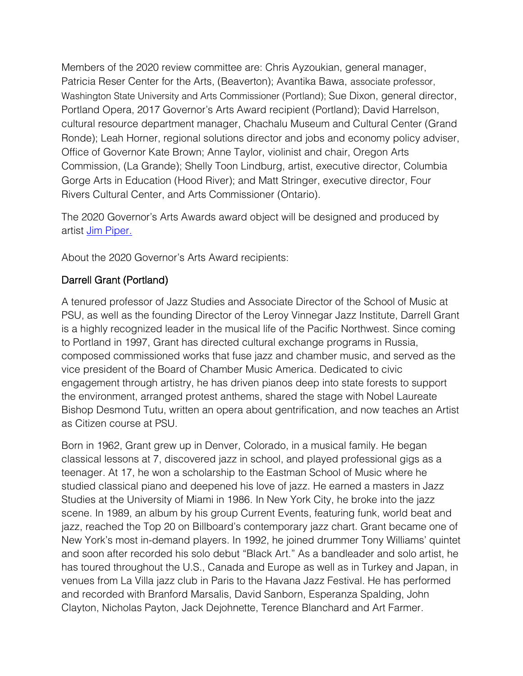Members of the 2020 review committee are: Chris Ayzoukian, general manager, Patricia Reser Center for the Arts, (Beaverton); Avantika Bawa, associate professor, Washington State University and Arts Commissioner (Portland); Sue Dixon, general director, Portland Opera, 2017 Governor's Arts Award recipient (Portland); David Harrelson, cultural resource department manager, Chachalu Museum and Cultural Center (Grand Ronde); Leah Horner, regional solutions director and jobs and economy policy adviser, Office of Governor Kate Brown; Anne Taylor, violinist and chair, Oregon Arts Commission, (La Grande); Shelly Toon Lindburg, artist, executive director, Columbia Gorge Arts in Education (Hood River); and Matt Stringer, executive director, Four Rivers Cultural Center, and Arts Commissioner (Ontario).

The 2020 Governor's Arts Awards award object will be designed and produced by artist [Jim Piper.](https://www.jimpiper.com/)

About the 2020 Governor's Arts Award recipients:

# Darrell Grant (Portland)

A tenured professor of Jazz Studies and Associate Director of the School of Music at PSU, as well as the founding Director of the Leroy Vinnegar Jazz Institute, Darrell Grant is a highly recognized leader in the musical life of the Pacific Northwest. Since coming to Portland in 1997, Grant has directed cultural exchange programs in Russia, composed commissioned works that fuse jazz and chamber music, and served as the vice president of the Board of Chamber Music America. Dedicated to civic engagement through artistry, he has driven pianos deep into state forests to support the environment, arranged protest anthems, shared the stage with Nobel Laureate Bishop Desmond Tutu, written an opera about gentrification, and now teaches an Artist as Citizen course at PSU.

Born in 1962, Grant grew up in Denver, Colorado, in a musical family. He began classical lessons at 7, discovered jazz in school, and played professional gigs as a teenager. At 17, he won a scholarship to the Eastman School of Music where he studied classical piano and deepened his love of jazz. He earned a masters in Jazz Studies at the University of Miami in 1986. In New York City, he broke into the jazz scene. In 1989, an album by his group Current Events, featuring funk, world beat and jazz, reached the Top 20 on Billboard's contemporary jazz chart. Grant became one of New York's most in-demand players. In 1992, he joined drummer Tony Williams' quintet and soon after recorded his solo debut "Black Art." As a bandleader and solo artist, he has toured throughout the U.S., Canada and Europe as well as in Turkey and Japan, in venues from La Villa jazz club in Paris to the Havana Jazz Festival. He has performed and recorded with Branford Marsalis, David Sanborn, Esperanza Spalding, John Clayton, Nicholas Payton, Jack Dejohnette, Terence Blanchard and Art Farmer.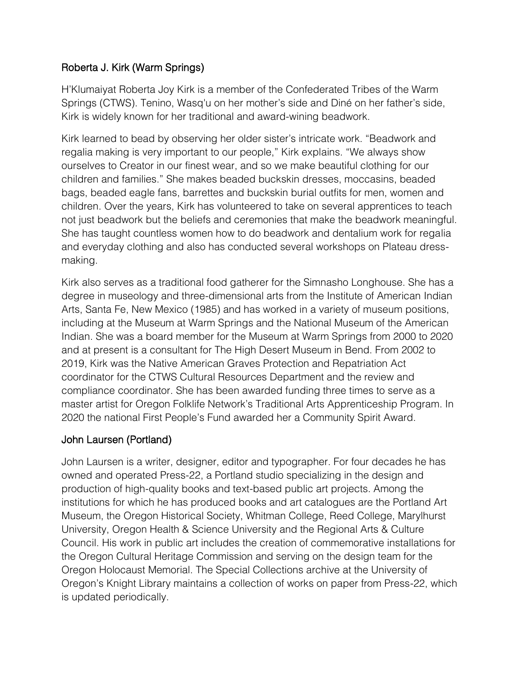## Roberta J. Kirk (Warm Springs)

H'Klumaiyat Roberta Joy Kirk is a member of the Confederated Tribes of the Warm Springs (CTWS). Tenino, Wasq'u on her mother's side and Diné on her father's side, Kirk is widely known for her traditional and award-wining beadwork.

Kirk learned to bead by observing her older sister's intricate work. "Beadwork and regalia making is very important to our people," Kirk explains. "We always show ourselves to Creator in our finest wear, and so we make beautiful clothing for our children and families." She makes beaded buckskin dresses, moccasins, beaded bags, beaded eagle fans, barrettes and buckskin burial outfits for men, women and children. Over the years, Kirk has volunteered to take on several apprentices to teach not just beadwork but the beliefs and ceremonies that make the beadwork meaningful. She has taught countless women how to do beadwork and dentalium work for regalia and everyday clothing and also has conducted several workshops on Plateau dressmaking.

Kirk also serves as a traditional food gatherer for the Simnasho Longhouse. She has a degree in museology and three-dimensional arts from the Institute of American Indian Arts, Santa Fe, New Mexico (1985) and has worked in a variety of museum positions, including at the Museum at Warm Springs and the National Museum of the American Indian. She was a board member for the Museum at Warm Springs from 2000 to 2020 and at present is a consultant for The High Desert Museum in Bend. From 2002 to 2019, Kirk was the Native American Graves Protection and Repatriation Act coordinator for the CTWS Cultural Resources Department and the review and compliance coordinator. She has been awarded funding three times to serve as a master artist for Oregon Folklife Network's Traditional Arts Apprenticeship Program. In 2020 the national First People's Fund awarded her a Community Spirit Award.

# John Laursen (Portland)

John Laursen is a writer, designer, editor and typographer. For four decades he has owned and operated Press-22, a Portland studio specializing in the design and production of high-quality books and text-based public art projects. Among the institutions for which he has produced books and art catalogues are the Portland Art Museum, the Oregon Historical Society, Whitman College, Reed College, Marylhurst University, Oregon Health & Science University and the Regional Arts & Culture Council. His work in public art includes the creation of commemorative installations for the Oregon Cultural Heritage Commission and serving on the design team for the Oregon Holocaust Memorial. The Special Collections archive at the University of Oregon's Knight Library maintains a collection of works on paper from Press-22, which is updated periodically.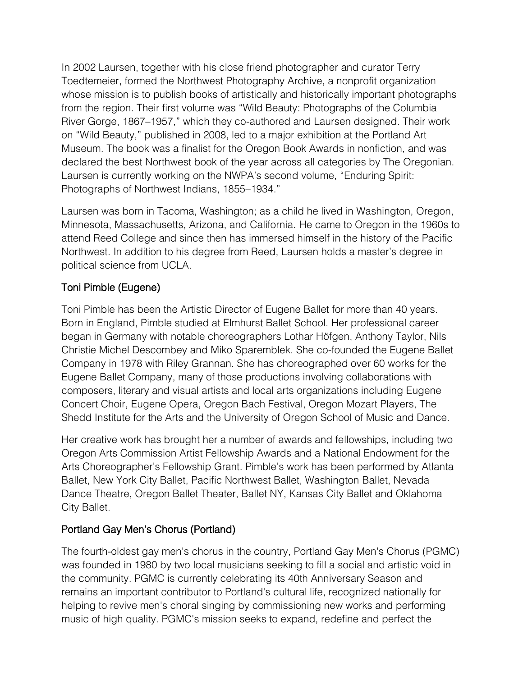In 2002 Laursen, together with his close friend photographer and curator Terry Toedtemeier, formed the Northwest Photography Archive, a nonprofit organization whose mission is to publish books of artistically and historically important photographs from the region. Their first volume was "Wild Beauty: Photographs of the Columbia River Gorge, 1867–1957," which they co-authored and Laursen designed. Their work on "Wild Beauty," published in 2008, led to a major exhibition at the Portland Art Museum. The book was a finalist for the Oregon Book Awards in nonfiction, and was declared the best Northwest book of the year across all categories by The Oregonian. Laursen is currently working on the NWPA's second volume, "Enduring Spirit: Photographs of Northwest Indians, 1855–1934."

Laursen was born in Tacoma, Washington; as a child he lived in Washington, Oregon, Minnesota, Massachusetts, Arizona, and California. He came to Oregon in the 1960s to attend Reed College and since then has immersed himself in the history of the Pacific Northwest. In addition to his degree from Reed, Laursen holds a master's degree in political science from UCLA.

## Toni Pimble (Eugene)

Toni Pimble has been the Artistic Director of Eugene Ballet for more than 40 years. Born in England, Pimble studied at Elmhurst Ballet School. Her professional career began in Germany with notable choreographers Lothar Höfgen, Anthony Taylor, Nils Christie Michel Descombey and Miko Sparemblek. She co-founded the Eugene Ballet Company in 1978 with Riley Grannan. She has choreographed over 60 works for the Eugene Ballet Company, many of those productions involving collaborations with composers, literary and visual artists and local arts organizations including Eugene Concert Choir, Eugene Opera, Oregon Bach Festival, Oregon Mozart Players, The Shedd Institute for the Arts and the University of Oregon School of Music and Dance.

Her creative work has brought her a number of awards and fellowships, including two Oregon Arts Commission Artist Fellowship Awards and a National Endowment for the Arts Choreographer's Fellowship Grant. Pimble's work has been performed by Atlanta Ballet, New York City Ballet, Pacific Northwest Ballet, Washington Ballet, Nevada Dance Theatre, Oregon Ballet Theater, Ballet NY, Kansas City Ballet and Oklahoma City Ballet.

#### Portland Gay Men's Chorus (Portland)

The fourth-oldest gay men's chorus in the country, Portland Gay Men's Chorus (PGMC) was founded in 1980 by two local musicians seeking to fill a social and artistic void in the community. PGMC is currently celebrating its 40th Anniversary Season and remains an important contributor to Portland's cultural life, recognized nationally for helping to revive men's choral singing by commissioning new works and performing music of high quality. PGMC's mission seeks to expand, redefine and perfect the